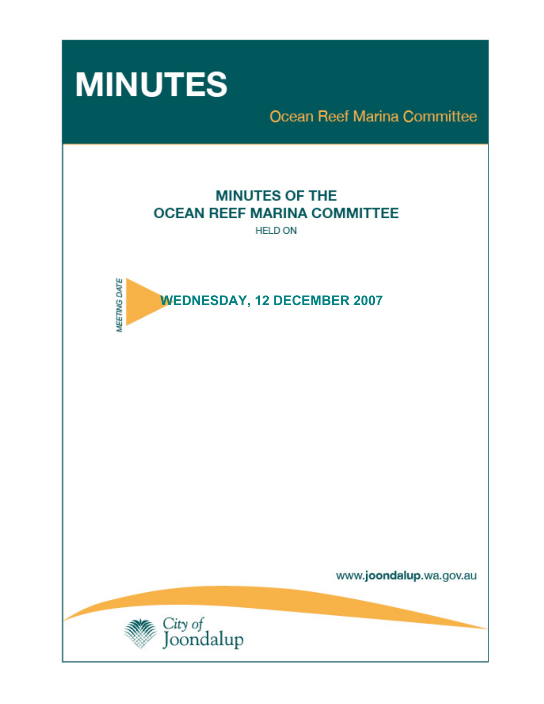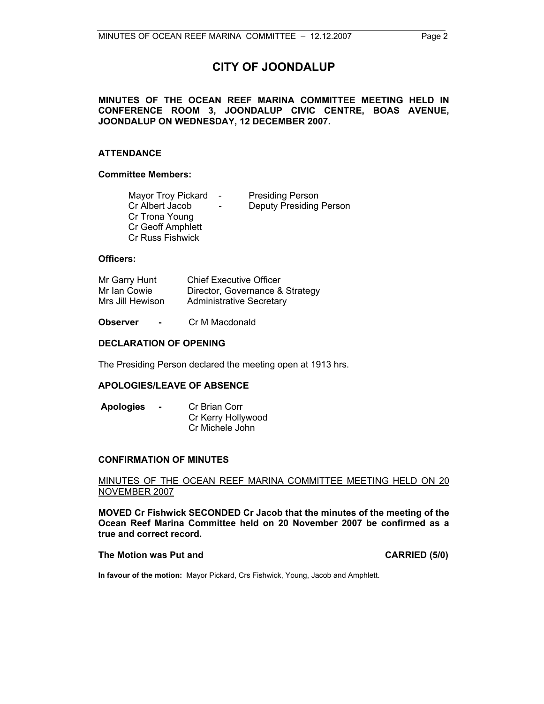# **CITY OF JOONDALUP**

## **MINUTES OF THE OCEAN REEF MARINA COMMITTEE MEETING HELD IN CONFERENCE ROOM 3, JOONDALUP CIVIC CENTRE, BOAS AVENUE, JOONDALUP ON WEDNESDAY, 12 DECEMBER 2007.**

## **ATTENDANCE**

#### **Committee Members:**

| <b>Mayor Troy Pickard</b> | $\sim$                   | <b>Presiding Person</b>        |
|---------------------------|--------------------------|--------------------------------|
| Cr Albert Jacob           | $\overline{\phantom{0}}$ | <b>Deputy Presiding Person</b> |
| Cr Trona Young            |                          |                                |
| <b>Cr Geoff Amphlett</b>  |                          |                                |
| <b>Cr Russ Fishwick</b>   |                          |                                |

#### **Officers:**

| Mr Garry Hunt    | <b>Chief Executive Officer</b>  |
|------------------|---------------------------------|
| Mr Ian Cowie     | Director, Governance & Strategy |
| Mrs Jill Hewison | <b>Administrative Secretary</b> |

**Observer -** Cr M Macdonald

### **DECLARATION OF OPENING**

The Presiding Person declared the meeting open at 1913 hrs.

## **APOLOGIES/LEAVE OF ABSENCE**

**Apologies -** Cr Brian Corr Cr Kerry Hollywood Cr Michele John

#### **CONFIRMATION OF MINUTES**

#### MINUTES OF THE OCEAN REEF MARINA COMMITTEE MEETING HELD ON 20 NOVEMBER 2007

**MOVED Cr Fishwick SECONDED Cr Jacob that the minutes of the meeting of the Ocean Reef Marina Committee held on 20 November 2007 be confirmed as a true and correct record.** 

#### **The Motion was Put and CARRIED (5/0) CARRIED (5/0)**

**In favour of the motion:** Mayor Pickard, Crs Fishwick, Young, Jacob and Amphlett.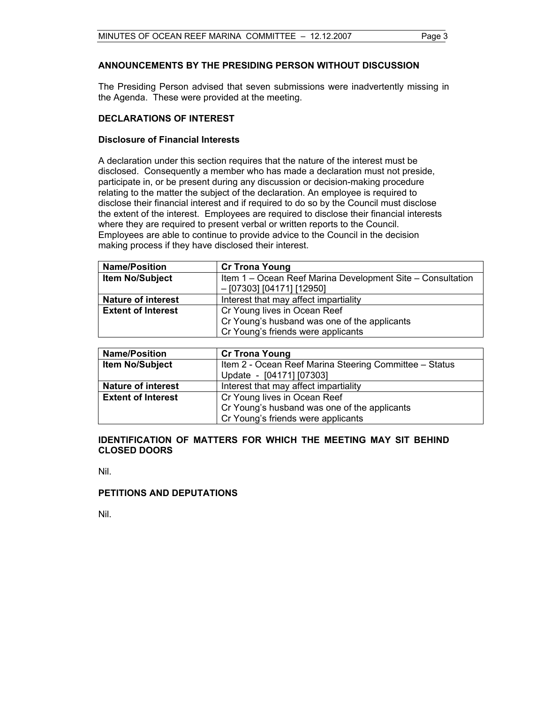## **ANNOUNCEMENTS BY THE PRESIDING PERSON WITHOUT DISCUSSION**

The Presiding Person advised that seven submissions were inadvertently missing in the Agenda. These were provided at the meeting.

### **DECLARATIONS OF INTEREST**

### **Disclosure of Financial Interests**

A declaration under this section requires that the nature of the interest must be disclosed. Consequently a member who has made a declaration must not preside, participate in, or be present during any discussion or decision-making procedure relating to the matter the subject of the declaration. An employee is required to disclose their financial interest and if required to do so by the Council must disclose the extent of the interest. Employees are required to disclose their financial interests where they are required to present verbal or written reports to the Council. Employees are able to continue to provide advice to the Council in the decision making process if they have disclosed their interest.

| <b>Name/Position</b>      | <b>Cr Trona Young</b>                                                                     |
|---------------------------|-------------------------------------------------------------------------------------------|
| <b>Item No/Subject</b>    | Item 1 – Ocean Reef Marina Development Site – Consultation<br>$-$ [07303] [04171] [12950] |
| <b>Nature of interest</b> | Interest that may affect impartiality                                                     |
| <b>Extent of Interest</b> | Cr Young lives in Ocean Reef                                                              |
|                           | Cr Young's husband was one of the applicants                                              |
|                           | Cr Young's friends were applicants                                                        |

| <b>Name/Position</b>      | <b>Cr Trona Young</b>                                                              |  |
|---------------------------|------------------------------------------------------------------------------------|--|
| <b>Item No/Subject</b>    | Item 2 - Ocean Reef Marina Steering Committee - Status<br>Update - [04171] [07303] |  |
| <b>Nature of interest</b> | Interest that may affect impartiality                                              |  |
| <b>Extent of Interest</b> | Cr Young lives in Ocean Reef                                                       |  |
|                           | Cr Young's husband was one of the applicants                                       |  |
|                           | Cr Young's friends were applicants                                                 |  |

## **IDENTIFICATION OF MATTERS FOR WHICH THE MEETING MAY SIT BEHIND CLOSED DOORS**

Nil.

#### **PETITIONS AND DEPUTATIONS**

Nil.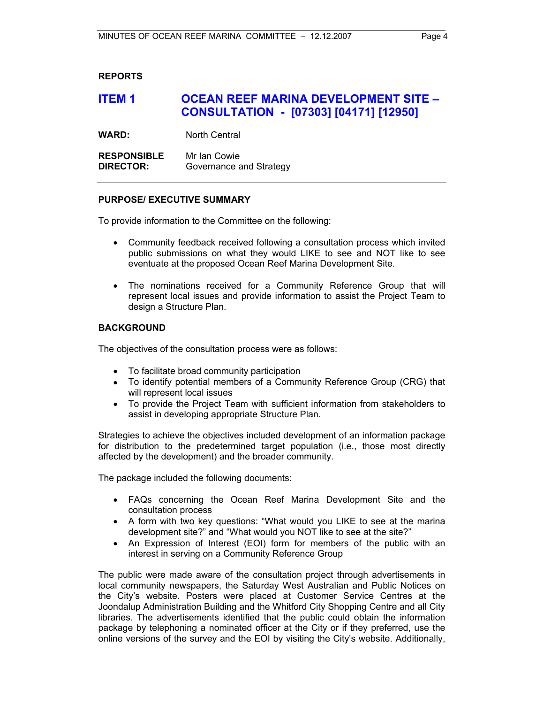## **REPORTS**

# **ITEM 1 OCEAN REEF MARINA DEVELOPMENT SITE – CONSULTATION - [07303] [04171] [12950]**

**WARD:** North Central

**RESPONSIBLE** Mr Ian Cowie **DIRECTOR:** Governance and Strategy

### **PURPOSE/ EXECUTIVE SUMMARY**

To provide information to the Committee on the following:

- Community feedback received following a consultation process which invited public submissions on what they would LIKE to see and NOT like to see eventuate at the proposed Ocean Reef Marina Development Site.
- The nominations received for a Community Reference Group that will represent local issues and provide information to assist the Project Team to design a Structure Plan.

## **BACKGROUND**

The objectives of the consultation process were as follows:

- To facilitate broad community participation
- To identify potential members of a Community Reference Group (CRG) that will represent local issues
- To provide the Project Team with sufficient information from stakeholders to assist in developing appropriate Structure Plan.

Strategies to achieve the objectives included development of an information package for distribution to the predetermined target population (i.e., those most directly affected by the development) and the broader community.

The package included the following documents:

- FAQs concerning the Ocean Reef Marina Development Site and the consultation process
- A form with two key questions: "What would you LIKE to see at the marina development site?" and "What would you NOT like to see at the site?"
- An Expression of Interest (EOI) form for members of the public with an interest in serving on a Community Reference Group

The public were made aware of the consultation project through advertisements in local community newspapers, the Saturday West Australian and Public Notices on the City's website. Posters were placed at Customer Service Centres at the Joondalup Administration Building and the Whitford City Shopping Centre and all City libraries. The advertisements identified that the public could obtain the information package by telephoning a nominated officer at the City or if they preferred, use the online versions of the survey and the EOI by visiting the City's website. Additionally,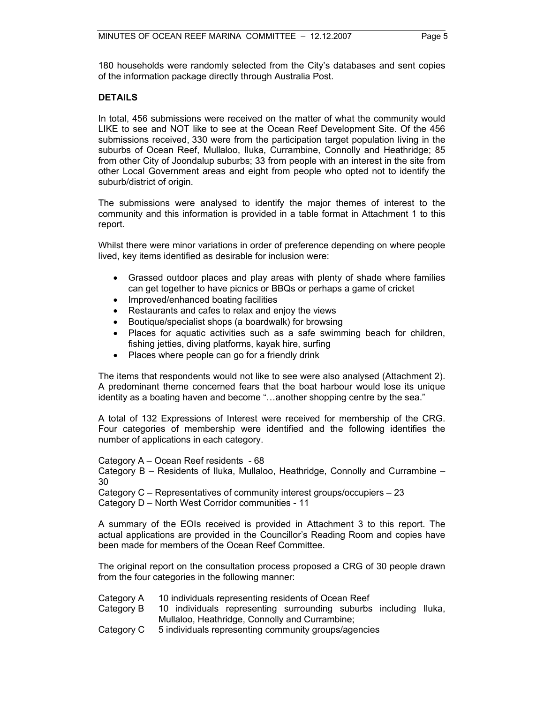180 households were randomly selected from the City's databases and sent copies of the information package directly through Australia Post.

## **DETAILS**

In total, 456 submissions were received on the matter of what the community would LIKE to see and NOT like to see at the Ocean Reef Development Site. Of the 456 submissions received, 330 were from the participation target population living in the suburbs of Ocean Reef, Mullaloo, Iluka, Currambine, Connolly and Heathridge; 85 from other City of Joondalup suburbs; 33 from people with an interest in the site from other Local Government areas and eight from people who opted not to identify the suburb/district of origin.

The submissions were analysed to identify the major themes of interest to the community and this information is provided in a table format in Attachment 1 to this report.

Whilst there were minor variations in order of preference depending on where people lived, key items identified as desirable for inclusion were:

- Grassed outdoor places and play areas with plenty of shade where families can get together to have picnics or BBQs or perhaps a game of cricket
- Improved/enhanced boating facilities
- Restaurants and cafes to relax and enjoy the views
- Boutique/specialist shops (a boardwalk) for browsing
- Places for aquatic activities such as a safe swimming beach for children, fishing jetties, diving platforms, kayak hire, surfing
- Places where people can go for a friendly drink

The items that respondents would not like to see were also analysed (Attachment 2). A predominant theme concerned fears that the boat harbour would lose its unique identity as a boating haven and become "…another shopping centre by the sea."

A total of 132 Expressions of Interest were received for membership of the CRG. Four categories of membership were identified and the following identifies the number of applications in each category.

Category A – Ocean Reef residents - 68

Category B – Residents of Iluka, Mullaloo, Heathridge, Connolly and Currambine – 30

Category C – Representatives of community interest groups/occupiers – 23

Category D – North West Corridor communities - 11

A summary of the EOIs received is provided in Attachment 3 to this report. The actual applications are provided in the Councillor's Reading Room and copies have been made for members of the Ocean Reef Committee.

The original report on the consultation process proposed a CRG of 30 people drawn from the four categories in the following manner:

- Category A 10 individuals representing residents of Ocean Reef
- Category B 10 individuals representing surrounding suburbs including Iluka, Mullaloo, Heathridge, Connolly and Currambine;
- Category C 5 individuals representing community groups/agencies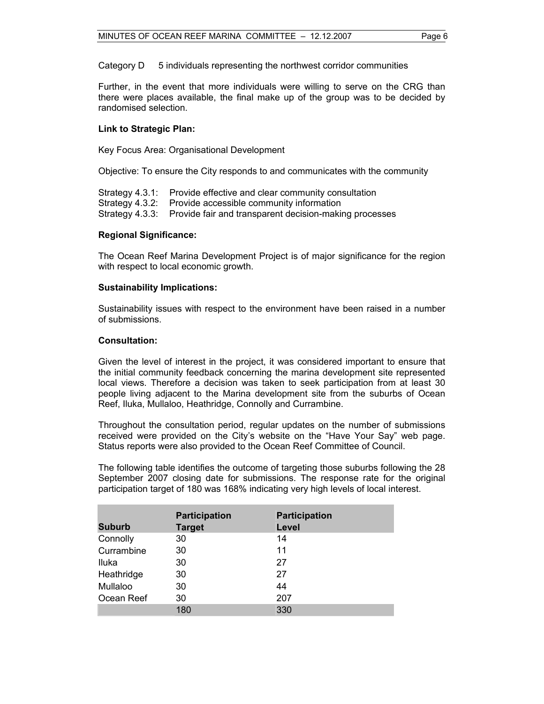Category D 5 individuals representing the northwest corridor communities

Further, in the event that more individuals were willing to serve on the CRG than there were places available, the final make up of the group was to be decided by randomised selection.

#### **Link to Strategic Plan:**

Key Focus Area: Organisational Development

Objective: To ensure the City responds to and communicates with the community

Strategy 4.3.1: Provide effective and clear community consultation Strategy 4.3.2: Provide accessible community information

Strategy 4.3.3: Provide fair and transparent decision-making processes

### **Regional Significance:**

The Ocean Reef Marina Development Project is of major significance for the region with respect to local economic growth.

### **Sustainability Implications:**

Sustainability issues with respect to the environment have been raised in a number of submissions.

### **Consultation:**

Given the level of interest in the project, it was considered important to ensure that the initial community feedback concerning the marina development site represented local views. Therefore a decision was taken to seek participation from at least 30 people living adjacent to the Marina development site from the suburbs of Ocean Reef, Iluka, Mullaloo, Heathridge, Connolly and Currambine.

Throughout the consultation period, regular updates on the number of submissions received were provided on the City's website on the "Have Your Say" web page. Status reports were also provided to the Ocean Reef Committee of Council.

The following table identifies the outcome of targeting those suburbs following the 28 September 2007 closing date for submissions. The response rate for the original participation target of 180 was 168% indicating very high levels of local interest.

|               | <b>Participation</b> | <b>Participation</b> |
|---------------|----------------------|----------------------|
| <b>Suburb</b> | <b>Target</b>        | Level                |
| Connolly      | 30                   | 14                   |
| Currambine    | 30                   | 11                   |
| Iluka         | 30                   | 27                   |
| Heathridge    | 30                   | 27                   |
| Mullaloo      | 30                   | 44                   |
| Ocean Reef    | 30                   | 207                  |
|               | 180                  | 330                  |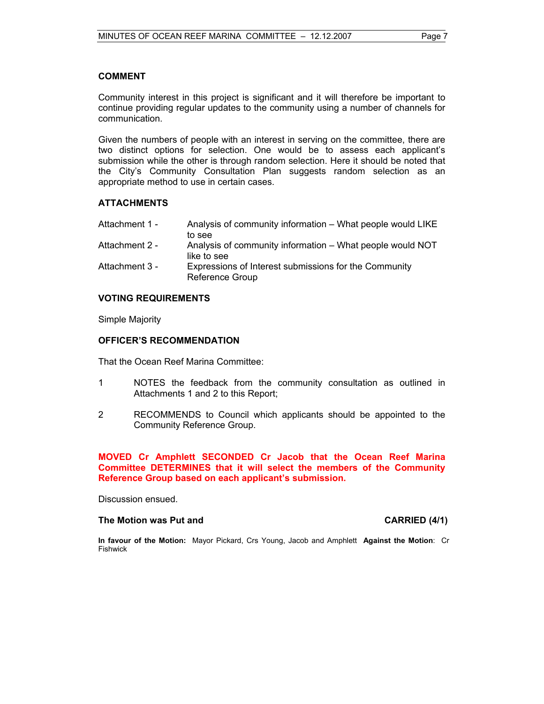#### **COMMENT**

Community interest in this project is significant and it will therefore be important to continue providing regular updates to the community using a number of channels for communication.

Given the numbers of people with an interest in serving on the committee, there are two distinct options for selection. One would be to assess each applicant's submission while the other is through random selection. Here it should be noted that the City's Community Consultation Plan suggests random selection as an appropriate method to use in certain cases.

## **ATTACHMENTS**

| Attachment 1 - | Analysis of community information – What people would LIKE |
|----------------|------------------------------------------------------------|
|                | to see                                                     |
| Attachment 2 - | Analysis of community information – What people would NOT  |
|                | like to see                                                |

Attachment 3 - Expressions of Interest submissions for the Community Reference Group

## **VOTING REQUIREMENTS**

Simple Majority

### **OFFICER'S RECOMMENDATION**

That the Ocean Reef Marina Committee:

- 1 NOTES the feedback from the community consultation as outlined in Attachments 1 and 2 to this Report;
- 2 RECOMMENDS to Council which applicants should be appointed to the Community Reference Group.

## **MOVED Cr Amphlett SECONDED Cr Jacob that the Ocean Reef Marina Committee DETERMINES that it will select the members of the Community Reference Group based on each applicant's submission.**

Discussion ensued.

#### The Motion was Put and **CARRIED** (4/1)

**In favour of the Motion:** Mayor Pickard, Crs Young, Jacob and Amphlett **Against the Motion**: Cr Fishwick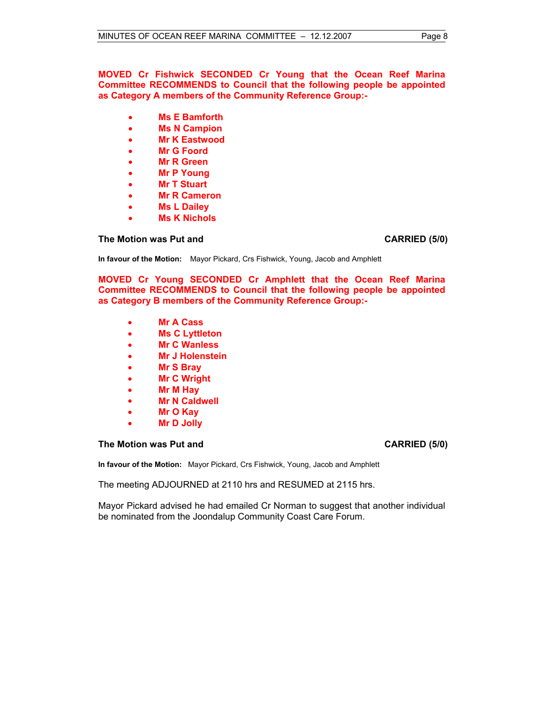**MOVED Cr Fishwick SECONDED Cr Young that the Ocean Reef Marina Committee RECOMMENDS to Council that the following people be appointed as Category A members of the Community Reference Group:-** 

- **Ms E Bamforth**
- **Ms N Campion**
- **Mr K Eastwood**
- **Mr G Foord**
- **Mr R Green**
- **Mr P Young**
- **Mr T Stuart**
- **Mr R Cameron**
- **Ms L Dailey**
- **Ms K Nichols**

**The Motion was Put and CARRIED (5/0) CARRIED (5/0)** 

**In favour of the Motion:** Mayor Pickard, Crs Fishwick, Young, Jacob and Amphlett

**MOVED Cr Young SECONDED Cr Amphlett that the Ocean Reef Marina Committee RECOMMENDS to Council that the following people be appointed as Category B members of the Community Reference Group:-** 

- **Mr A Cass**
- **Ms C Lyttleton**
- **Mr C Wanless**
- **Mr J Holenstein**
- **Mr S Bray**
- **Mr C Wright**
- **Mr M Hay**
- **Mr N Caldwell**
- **Mr O Kay**
- **Mr D Jolly**

#### **The Motion was Put and CARRIED (5/0) CARRIED (5/0)**

**In favour of the Motion:** Mayor Pickard, Crs Fishwick, Young, Jacob and Amphlett

The meeting ADJOURNED at 2110 hrs and RESUMED at 2115 hrs.

Mayor Pickard advised he had emailed Cr Norman to suggest that another individual be nominated from the Joondalup Community Coast Care Forum.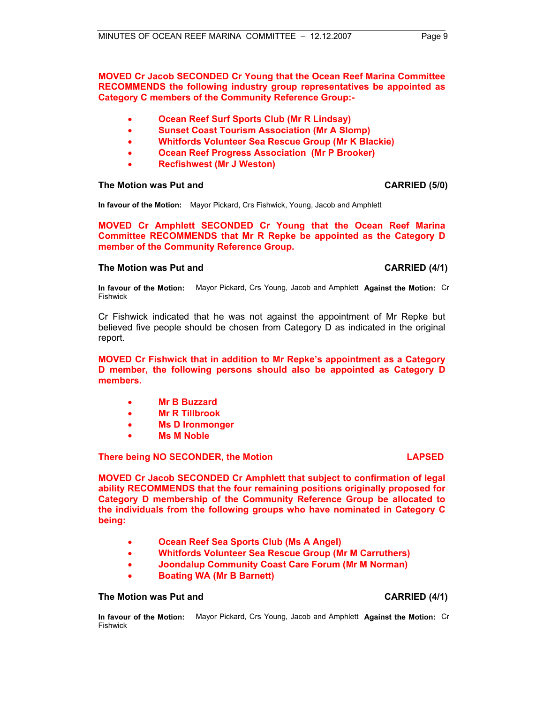## **MOVED Cr Jacob SECONDED Cr Young that the Ocean Reef Marina Committee RECOMMENDS the following industry group representatives be appointed as Category C members of the Community Reference Group:-**

- **Ocean Reef Surf Sports Club (Mr R Lindsay)**
- **Sunset Coast Tourism Association (Mr A Slomp)**
- **Whitfords Volunteer Sea Rescue Group (Mr K Blackie)**
- **Ocean Reef Progress Association (Mr P Brooker)**
- **Recfishwest (Mr J Weston)**

#### **The Motion was Put and CARRIED (5/0) CARRIED** (5/0)

**In favour of the Motion:** Mayor Pickard, Crs Fishwick, Young, Jacob and Amphlett

**MOVED Cr Amphlett SECONDED Cr Young that the Ocean Reef Marina Committee RECOMMENDS that Mr R Repke be appointed as the Category D member of the Community Reference Group.** 

#### **The Motion was Put and CARRIED (4/1) CARRIED (4/1)**

**In favour of the Motion:** Mayor Pickard, Crs Young, Jacob and Amphlett **Against the Motion:** Cr Fishwick

Cr Fishwick indicated that he was not against the appointment of Mr Repke but believed five people should be chosen from Category D as indicated in the original report.

**MOVED Cr Fishwick that in addition to Mr Repke's appointment as a Category D member, the following persons should also be appointed as Category D members.** 

- **Mr B Buzzard**
- **Mr R Tillbrook**
- **Ms D Ironmonger**
- **Ms M Noble**

**There being NO SECONDER, the Motion LAPSED** 

**MOVED Cr Jacob SECONDED Cr Amphlett that subject to confirmation of legal ability RECOMMENDS that the four remaining positions originally proposed for Category D membership of the Community Reference Group be allocated to the individuals from the following groups who have nominated in Category C being:** 

- **Ocean Reef Sea Sports Club (Ms A Angel)**
- **Whitfords Volunteer Sea Rescue Group (Mr M Carruthers)**
- **Joondalup Community Coast Care Forum (Mr M Norman)**
- **Boating WA (Mr B Barnett)**

#### **The Motion was Put and CARRIED (4/1) CARRIED (4/1)**

**In favour of the Motion:** Mayor Pickard, Crs Young, Jacob and Amphlett **Against the Motion:** Cr Fishwick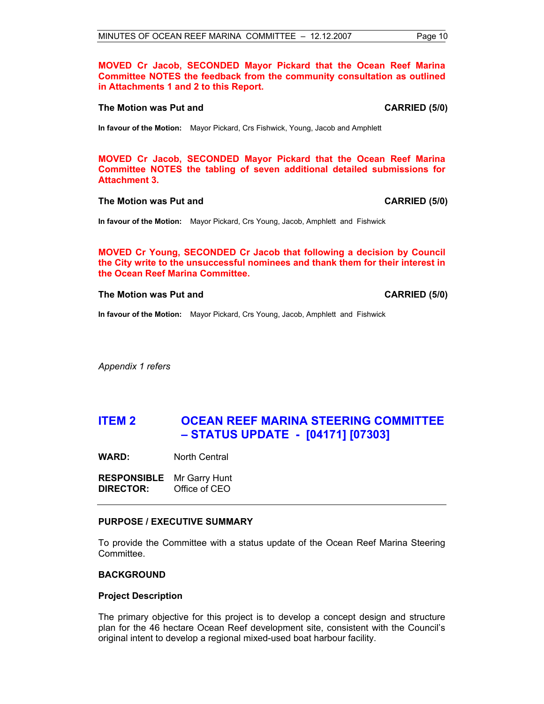**MOVED Cr Jacob, SECONDED Mayor Pickard that the Ocean Reef Marina Committee NOTES the feedback from the community consultation as outlined in Attachments 1 and 2 to this Report.** 

#### **The Motion was Put and CARRIED (5/0) CARRIED (5/0)**

**In favour of the Motion:** Mayor Pickard, Crs Fishwick, Young, Jacob and Amphlett

**MOVED Cr Jacob, SECONDED Mayor Pickard that the Ocean Reef Marina Committee NOTES the tabling of seven additional detailed submissions for Attachment 3.** 

#### **The Motion was Put and CARRIED (5/0) CARRIED (5/0)**

**In favour of the Motion:** Mayor Pickard, Crs Young, Jacob, Amphlett and Fishwick

**MOVED Cr Young, SECONDED Cr Jacob that following a decision by Council the City write to the unsuccessful nominees and thank them for their interest in the Ocean Reef Marina Committee.** 

#### **The Motion was Put and CARRIED (5/0) CARRIED (5/0)**

**In favour of the Motion:** Mayor Pickard, Crs Young, Jacob, Amphlett and Fishwick

*Appendix 1 refers* 

# **ITEM 2 OCEAN REEF MARINA STEERING COMMITTEE – STATUS UPDATE - [04171] [07303]**

**WARD:** North Central

**RESPONSIBLE** Mr Garry Hunt **DIRECTOR:** Office of CEO

#### **PURPOSE / EXECUTIVE SUMMARY**

To provide the Committee with a status update of the Ocean Reef Marina Steering Committee.

#### **BACKGROUND**

#### **Project Description**

The primary objective for this project is to develop a concept design and structure plan for the 46 hectare Ocean Reef development site, consistent with the Council's original intent to develop a regional mixed-used boat harbour facility.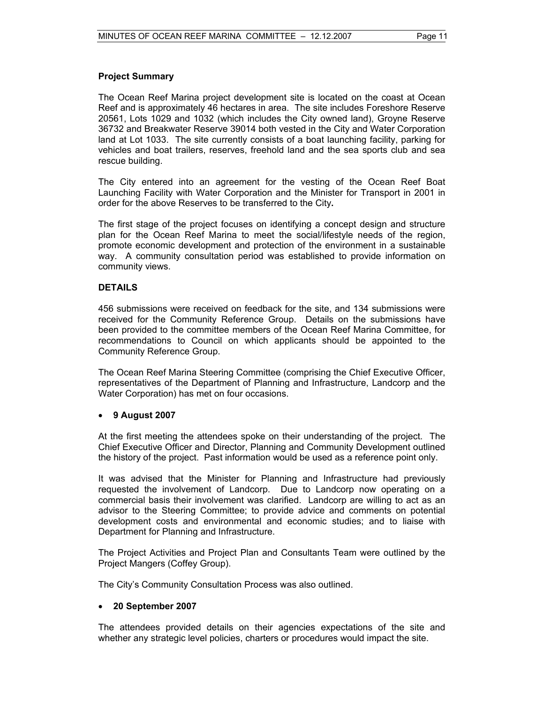## **Project Summary**

The Ocean Reef Marina project development site is located on the coast at Ocean Reef and is approximately 46 hectares in area. The site includes Foreshore Reserve 20561, Lots 1029 and 1032 (which includes the City owned land), Groyne Reserve 36732 and Breakwater Reserve 39014 both vested in the City and Water Corporation land at Lot 1033. The site currently consists of a boat launching facility, parking for vehicles and boat trailers, reserves, freehold land and the sea sports club and sea rescue building.

The City entered into an agreement for the vesting of the Ocean Reef Boat Launching Facility with Water Corporation and the Minister for Transport in 2001 in order for the above Reserves to be transferred to the City**.** 

The first stage of the project focuses on identifying a concept design and structure plan for the Ocean Reef Marina to meet the social/lifestyle needs of the region, promote economic development and protection of the environment in a sustainable way. A community consultation period was established to provide information on community views.

## **DETAILS**

456 submissions were received on feedback for the site, and 134 submissions were received for the Community Reference Group. Details on the submissions have been provided to the committee members of the Ocean Reef Marina Committee, for recommendations to Council on which applicants should be appointed to the Community Reference Group.

The Ocean Reef Marina Steering Committee (comprising the Chief Executive Officer, representatives of the Department of Planning and Infrastructure, Landcorp and the Water Corporation) has met on four occasions.

## • **9 August 2007**

At the first meeting the attendees spoke on their understanding of the project. The Chief Executive Officer and Director, Planning and Community Development outlined the history of the project. Past information would be used as a reference point only.

It was advised that the Minister for Planning and Infrastructure had previously requested the involvement of Landcorp. Due to Landcorp now operating on a commercial basis their involvement was clarified. Landcorp are willing to act as an advisor to the Steering Committee; to provide advice and comments on potential development costs and environmental and economic studies; and to liaise with Department for Planning and Infrastructure.

The Project Activities and Project Plan and Consultants Team were outlined by the Project Mangers (Coffey Group).

The City's Community Consultation Process was also outlined.

## • **20 September 2007**

The attendees provided details on their agencies expectations of the site and whether any strategic level policies, charters or procedures would impact the site.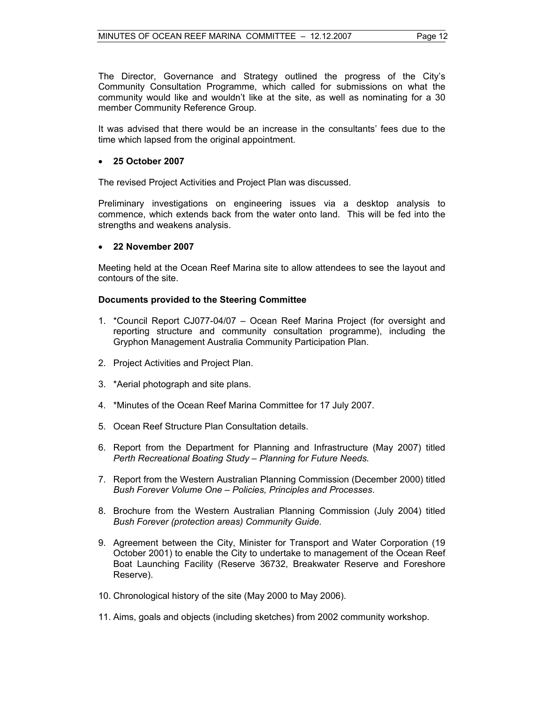The Director, Governance and Strategy outlined the progress of the City's Community Consultation Programme, which called for submissions on what the community would like and wouldn't like at the site, as well as nominating for a 30 member Community Reference Group.

It was advised that there would be an increase in the consultants' fees due to the time which lapsed from the original appointment.

## • **25 October 2007**

The revised Project Activities and Project Plan was discussed.

Preliminary investigations on engineering issues via a desktop analysis to commence, which extends back from the water onto land. This will be fed into the strengths and weakens analysis.

### • **22 November 2007**

Meeting held at the Ocean Reef Marina site to allow attendees to see the layout and contours of the site.

### **Documents provided to the Steering Committee**

- 1. \*Council Report CJ077-04/07 Ocean Reef Marina Project (for oversight and reporting structure and community consultation programme), including the Gryphon Management Australia Community Participation Plan.
- 2. Project Activities and Project Plan.
- 3. \*Aerial photograph and site plans.
- 4. \*Minutes of the Ocean Reef Marina Committee for 17 July 2007.
- 5. Ocean Reef Structure Plan Consultation details.
- 6. Report from the Department for Planning and Infrastructure (May 2007) titled *Perth Recreational Boating Study – Planning for Future Needs.*
- 7. Report from the Western Australian Planning Commission (December 2000) titled *Bush Forever Volume One – Policies, Principles and Processes*.
- 8. Brochure from the Western Australian Planning Commission (July 2004) titled *Bush Forever (protection areas) Community Guide.*
- 9. Agreement between the City, Minister for Transport and Water Corporation (19 October 2001) to enable the City to undertake to management of the Ocean Reef Boat Launching Facility (Reserve 36732, Breakwater Reserve and Foreshore Reserve).
- 10. Chronological history of the site (May 2000 to May 2006).
- 11. Aims, goals and objects (including sketches) from 2002 community workshop.